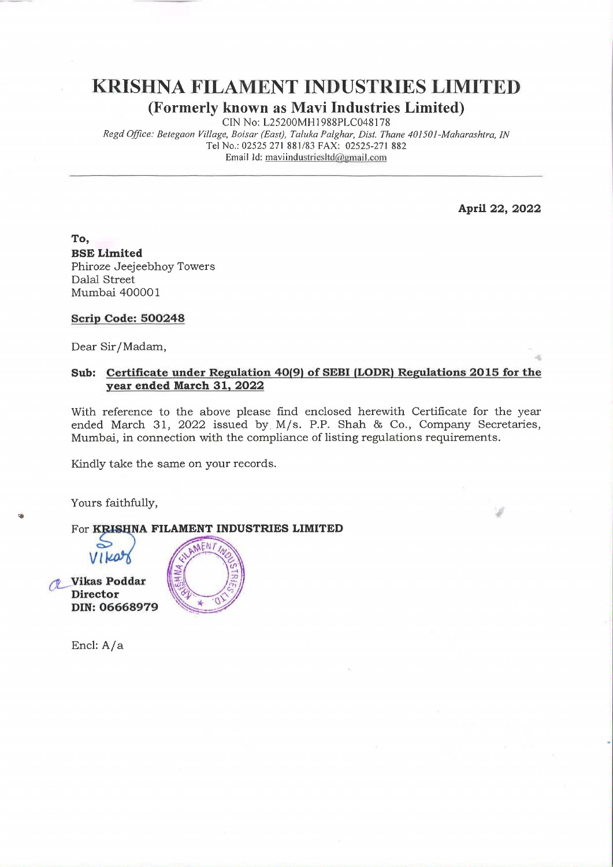KRISHNA FILAMENT INDUSTRIES LIMITED (Formerly known as Mavi Industries Limited)

CIN No: L25200MH1988PLC048178

Regd Office: Betegaon Village, Boisar (East), Taluka Palghar, Dist. Thane 401501-Maharashtra, IN Tel No.: 02525 271 881/83 FAX: 02525-271 882  $\bf AMENT\ IN DUST$ <br> **known as Mavi Industr**<br>
CIN No: L25200MH1988PLC0481<sup>-</sup><br> *e, Boisar (East), Taluka Palghar, Dist.*<br>
No.: 02525 271 881/83 FAX: 02525-27<br>
Email Id: mavindustriesItd@gmail.com Email Id: maviindustriesltd@email.com

April 22, 2022

To, BSE Limited Phiroze Jeejeebhoy Towers Dalal Street Mumbai 400001

#### Scrip Code: 500248

Dear Sir/Madam,

#### Sub: Certificate under Regulation 40(9) of SEBI (LODR) Regulations 2015 for the year ended March 31, 2022

With reference to the above please find enclosed herewith Certificate for the year ended March 31, 2022 issued by. M/s. P.P. Shah & Co., Company Secretaries, Mumbai, in connection with the compliance of listing regulations requirements.

Kindly take the same on your records.

Yours faithfully,

#### For KRISHNA FILAMENT INDUSTRIES LIMITED

OL Vikas Poddar Director DIN: 06668979



Encl: A/a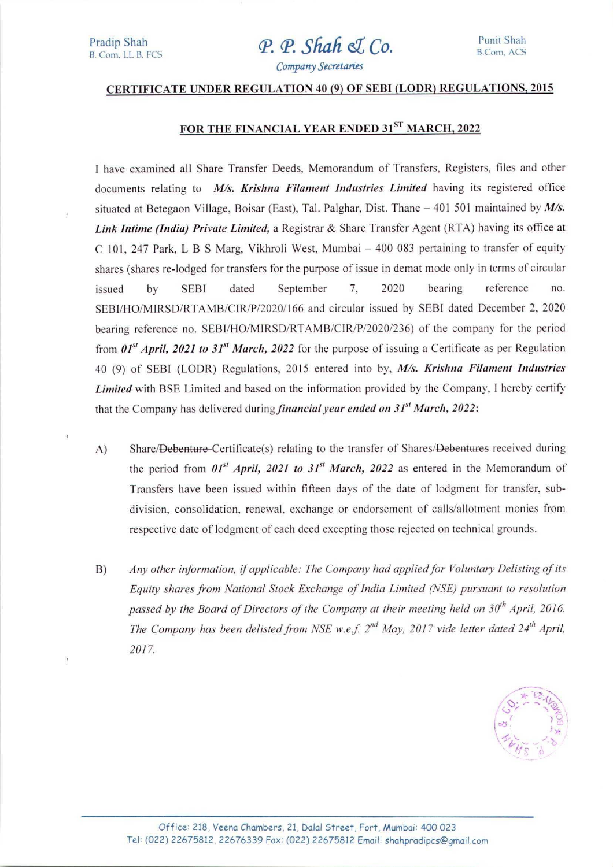# **P. P. Shah & Co.** Punit Shah B.Com, ACS

### Company Secretanes

## CERTIFICATE UNDER REGULATION 40 (9) OF SEBI (LODR) REGULATIONS, 2015

# FOR THE FINANCIAL YEAR ENDED 31ST MARCH, 2022

I have examined all Share Transfer Deeds, Memorandum of Transfers, Registers, files and other documents relating to  $M/s$ . Krishna Filament Industries Limited having its registered office situated at Betegaon Village, Boisar (East), Tal. Palghar, Dist. Thane  $-401$  501 maintained by  $M/s$ . Link Intime (India) Private Limited, a Registrar & Share Transfer Agent (RTA) having its office at C 101, 247 Park, L B S Marg, Vikhroli West, Mumbai — 400 083 pertaining to transfer of equity shares (shares re-lodged for transfers for the purpose of issue in demat mode only in terms of circular issued by SEBI dated September 7, 2020 bearing reference no. SEBI/HO/MIRSD/RTAMB/CIR/P/2020/166 and circular issued by SEBI dated December 2, 2020 bearing reference no. SEBI/HO/MIRSD/RTAMB/CIR/P/2020/236) of the company for the period from  $0.01^{st}$  April, 2021 to 31<sup>st</sup> March, 2022 for the purpose of issuing a Certificate as per Regulation 40 (9) of SEBI (LODR) Regulations, 2015 entered into by, M/s. Krishna Filament Industries Limited with BSE Limited and based on the information provided by the Company, I hereby certify that the Company has delivered during *financial year ended on 31<sup>st</sup> March* $, 2022:$ **Link Intime (India) Private Limited**, a Registrar<br>
C 101, 247 Park, L B S Marg, Viktonii Vest, 1<br>
shares (shares re-lodged for transfers for the purp<br>
issued by SEBI dated Septembe<br>
SEBI/HO/MIRSD/RTAMB/CIR/P/2020/166 and

- A) Share/Debenture-Certificate(s) relating to the transfer of Shares/Debentures received during the period from  $01^{st}$  April, 2021 to  $31^{st}$  March, 2022 as entered in the Memorandum of Transfers have been issued within fifteen days of the date of lodgment for transfer, subdivision, consolidation, renewal, exchange or endorsement of calls/allotment monies from respective date of lodgment of each deed excepting those rejected on technical grounds. 40 (9) of SEBI (LODR) Regulations, 2013<br> *Limited* with BSE Limited and based on the<br>
that the Company has delivered during *financ*<br>
A) Share/Debenture-Certificate(s) relatin<br>
the period from  $01^{st}$  *April*, 2021 to<br>
Tr
	- B) Any other information, if applicable: The Company had applied for Voluntary Delisting of its Equity shares from National Stock Exchange of India Limited (NSE) pursuant to resolution passed by the Board of Directors of the Company at their meeting held on  $30<sup>th</sup>$  April, 2016. The Company has been delisted from NSE w.e.f.  $2^{nd}$  May, 2017 vide letter dated  $24^{th}$  April, 2017.



Ī